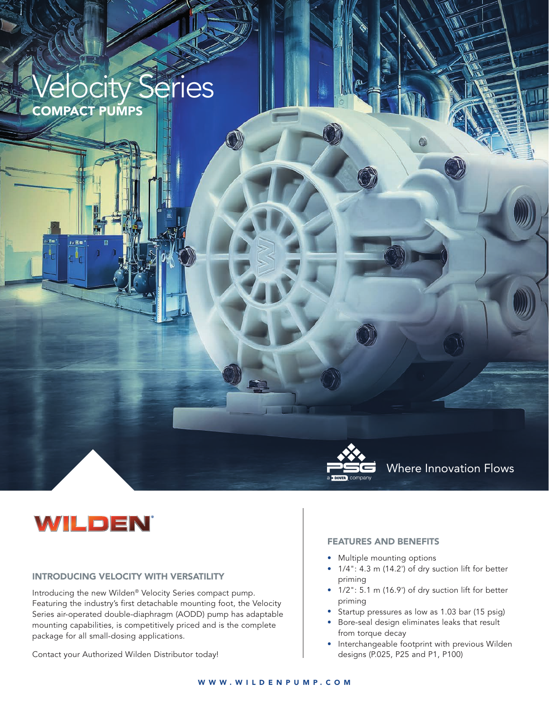

# WILDEN

#### INTRODUCING VELOCITY WITH VERSATILITY

Introducing the new Wilden® Velocity Series compact pump. Featuring the industry's first detachable mounting foot, the Velocity Series air-operated double-diaphragm (AODD) pump has adaptable mounting capabilities, is competitively priced and is the complete package for all small-dosing applications.

Contact your Authorized Wilden Distributor today!

#### FEATURES AND BENEFITS

- Multiple mounting options
- 1/4": 4.3 m (14.2') of dry suction lift for better priming
- 1/2": 5.1 m (16.9') of dry suction lift for better priming
- Startup pressures as low as 1.03 bar (15 psig)
- Bore-seal design eliminates leaks that result from torque decay
- Interchangeable footprint with previous Wilden designs (P.025, P25 and P1, P100)